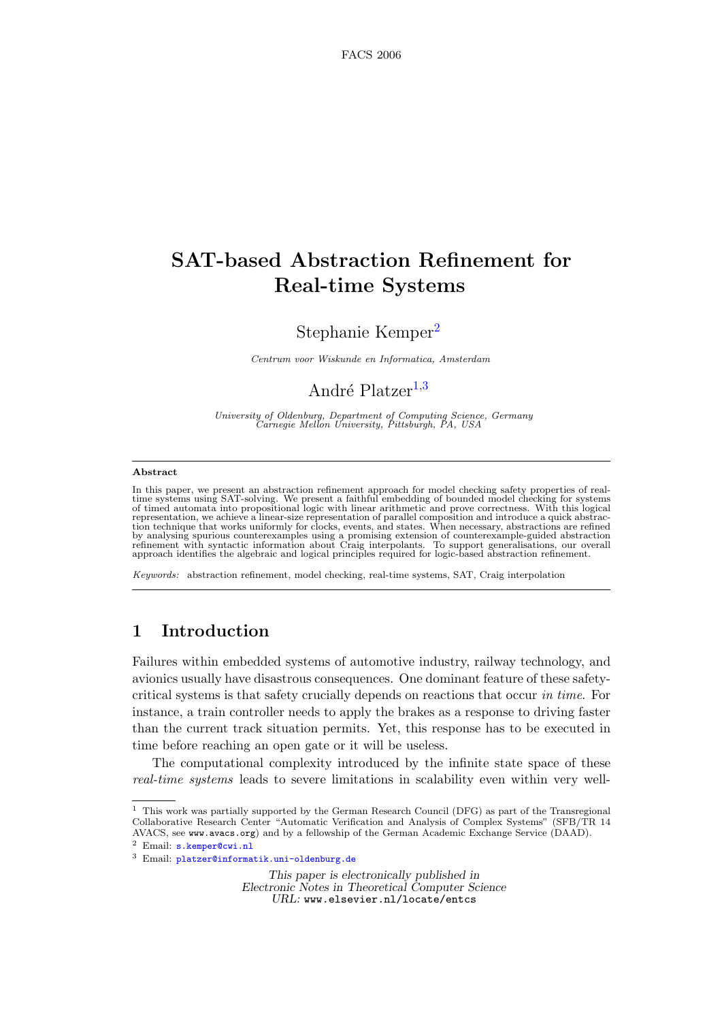# <span id="page-0-1"></span>SAT-based Abstraction Refinement for Real-time Systems

# Stephanie Kemper[2](#page-0-0)

Centrum voor Wiskunde en Informatica, Amsterdam

# André Platzer<sup>[1](#page-0-0),[3](#page-0-0)</sup>

University of Oldenburg, Department of Computing Science, Germany Carnegie Mellon University, Pittsburgh, PA, USA

#### <span id="page-0-0"></span>Abstract

In this paper, we present an abstraction refinement approach for model checking safety properties of realtime systems using SAT-solving. We present a faithful embedding of bounded model checking for systems of timed automata into propositional logic with linear arithmetic and prove correctness. With this logical representation, we achieve a linear-size representation of parallel composition and introduce a quick abstrac-tion technique that works uniformly for clocks, events, and states. When necessary, abstractions are refined by analysing spurious counterexamples using a promising extension of counterexample-guided abstraction<br>refinement with syntactic information about Craig interpolants. To support generalisations, our overall<br>approach identi

Keywords: abstraction refinement, model checking, real-time systems, SAT, Craig interpolation

# 1 Introduction

Failures within embedded systems of automotive industry, railway technology, and avionics usually have disastrous consequences. One dominant feature of these safetycritical systems is that safety crucially depends on reactions that occur in time. For instance, a train controller needs to apply the brakes as a response to driving faster than the current track situation permits. Yet, this response has to be executed in time before reaching an open gate or it will be useless.

The computational complexity introduced by the infinite state space of these real-time systems leads to severe limitations in scalability even within very well-

This paper is electronically published in Electronic Notes in Theoretical Computer Science URL: www.elsevier.nl/locate/entcs

<sup>1</sup> This work was partially supported by the German Research Council (DFG) as part of the Transregional Collaborative Research Center "Automatic Verification and Analysis of Complex Systems" (SFB/TR 14 AVACS, see www.avacs.org) and by a fellowship of the German Academic Exchange Service (DAAD).

<sup>2</sup> Email: [s.kemper@cwi.nl](mailto:s.kemper@cwi.nl)

<sup>3</sup> Email: [platzer@informatik.uni-oldenburg.de](mailto:platzer@informatik.uni-oldenburg.de)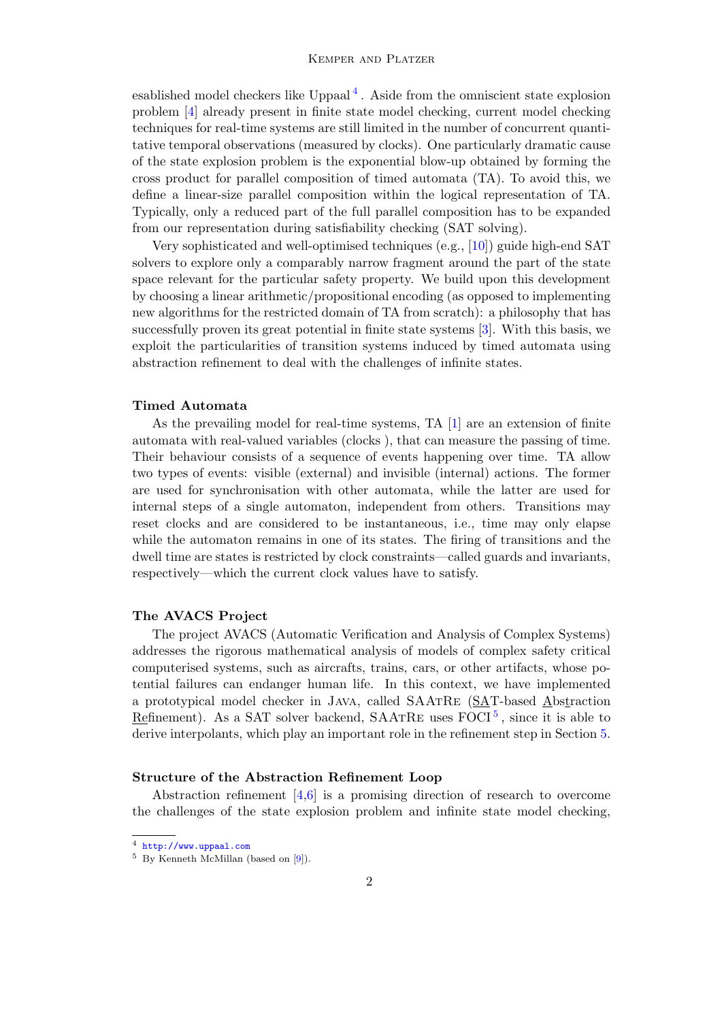esablished model checkers like Uppaal<sup>[4](#page-1-0)</sup>. Aside from the omniscient state explosion problem [\[4\]](#page-14-0) already present in finite state model checking, current model checking techniques for real-time systems are still limited in the number of concurrent quantitative temporal observations (measured by clocks). One particularly dramatic cause of the state explosion problem is the exponential blow-up obtained by forming the cross product for parallel composition of timed automata (TA). To avoid this, we define a linear-size parallel composition within the logical representation of TA. Typically, only a reduced part of the full parallel composition has to be expanded from our representation during satisfiability checking (SAT solving).

Very sophisticated and well-optimised techniques (e.g., [\[10\]](#page-14-1)) guide high-end SAT solvers to explore only a comparably narrow fragment around the part of the state space relevant for the particular safety property. We build upon this development by choosing a linear arithmetic/propositional encoding (as opposed to implementing new algorithms for the restricted domain of TA from scratch): a philosophy that has successfully proven its great potential in finite state systems [\[3\]](#page-14-2). With this basis, we exploit the particularities of transition systems induced by timed automata using abstraction refinement to deal with the challenges of infinite states.

# Timed Automata

As the prevailing model for real-time systems, TA [\[1\]](#page-14-3) are an extension of finite automata with real-valued variables (clocks ), that can measure the passing of time. Their behaviour consists of a sequence of events happening over time. TA allow two types of events: visible (external) and invisible (internal) actions. The former are used for synchronisation with other automata, while the latter are used for internal steps of a single automaton, independent from others. Transitions may reset clocks and are considered to be instantaneous, i.e., time may only elapse while the automaton remains in one of its states. The firing of transitions and the dwell time are states is restricted by clock constraints—called guards and invariants, respectively—which the current clock values have to satisfy.

# The AVACS Project

The project AVACS (Automatic Verification and Analysis of Complex Systems) addresses the rigorous mathematical analysis of models of complex safety critical computerised systems, such as aircrafts, trains, cars, or other artifacts, whose potential failures can endanger human life. In this context, we have implemented a prototypical model checker in Java, called SAAtRe (SAT-based Abstraction Refinement). As a SAT solver backend, SAATRE uses  $FOCI<sup>5</sup>$  $FOCI<sup>5</sup>$  $FOCI<sup>5</sup>$ , since it is able to derive interpolants, which play an important role in the refinement step in Section [5.](#page-11-0)

### Structure of the Abstraction Refinement Loop

Abstraction refinement  $[4,6]$  $[4,6]$  is a promising direction of research to overcome the challenges of the state explosion problem and infinite state model checking,

<span id="page-1-0"></span><sup>4</sup> <http://www.uppaal.com>

<span id="page-1-1"></span> $5$  By Kenneth McMillan (based on  $[9]$ ).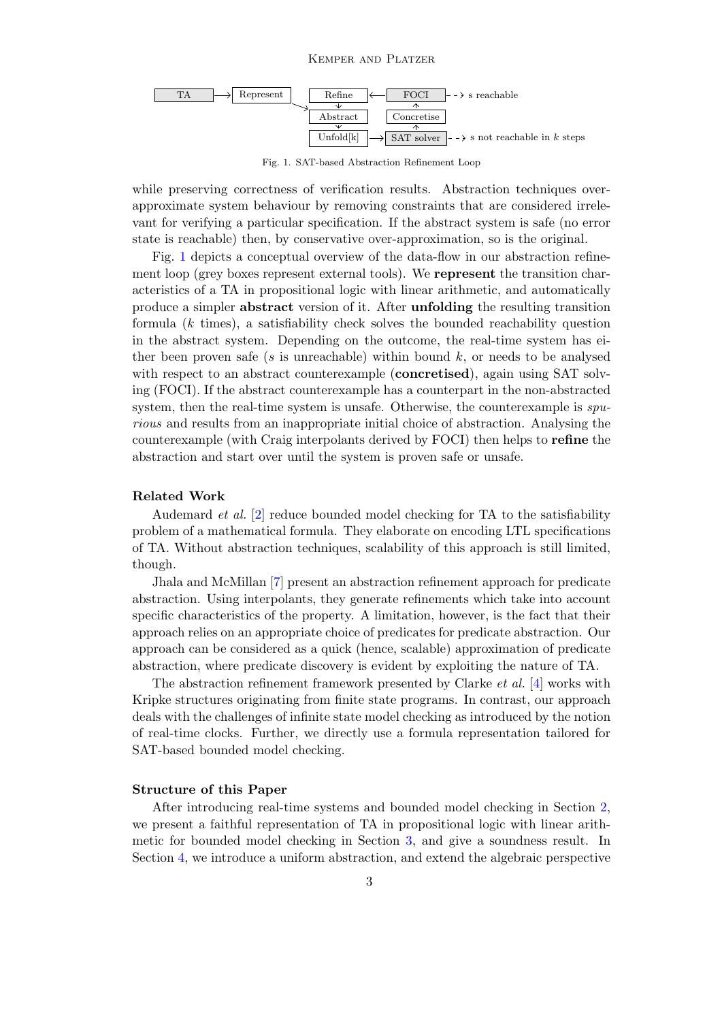

<span id="page-2-0"></span>Fig. 1. SAT-based Abstraction Refinement Loop

while preserving correctness of verification results. Abstraction techniques overapproximate system behaviour by removing constraints that are considered irrelevant for verifying a particular specification. If the abstract system is safe (no error state is reachable) then, by conservative over-approximation, so is the original.

Fig. [1](#page-2-0) depicts a conceptual overview of the data-flow in our abstraction refinement loop (grey boxes represent external tools). We represent the transition characteristics of a TA in propositional logic with linear arithmetic, and automatically produce a simpler abstract version of it. After unfolding the resulting transition formula (k times), a satisfiability check solves the bounded reachability question in the abstract system. Depending on the outcome, the real-time system has either been proven safe (s is unreachable) within bound  $k$ , or needs to be analysed with respect to an abstract counterexample (**concretised**), again using SAT solving (FOCI). If the abstract counterexample has a counterpart in the non-abstracted system, then the real-time system is unsafe. Otherwise, the counterexample is  $spu$ rious and results from an inappropriate initial choice of abstraction. Analysing the counterexample (with Craig interpolants derived by FOCI) then helps to refine the abstraction and start over until the system is proven safe or unsafe.

# Related Work

Audemard et al. [\[2\]](#page-14-6) reduce bounded model checking for TA to the satisfiability problem of a mathematical formula. They elaborate on encoding LTL specifications of TA. Without abstraction techniques, scalability of this approach is still limited, though.

Jhala and McMillan [\[7\]](#page-14-7) present an abstraction refinement approach for predicate abstraction. Using interpolants, they generate refinements which take into account specific characteristics of the property. A limitation, however, is the fact that their approach relies on an appropriate choice of predicates for predicate abstraction. Our approach can be considered as a quick (hence, scalable) approximation of predicate abstraction, where predicate discovery is evident by exploiting the nature of TA.

The abstraction refinement framework presented by Clarke et al. [\[4\]](#page-14-0) works with Kripke structures originating from finite state programs. In contrast, our approach deals with the challenges of infinite state model checking as introduced by the notion of real-time clocks. Further, we directly use a formula representation tailored for SAT-based bounded model checking.

# Structure of this Paper

After introducing real-time systems and bounded model checking in Section [2,](#page-3-0) we present a faithful representation of TA in propositional logic with linear arithmetic for bounded model checking in Section [3,](#page-4-0) and give a soundness result. In Section [4,](#page-8-0) we introduce a uniform abstraction, and extend the algebraic perspective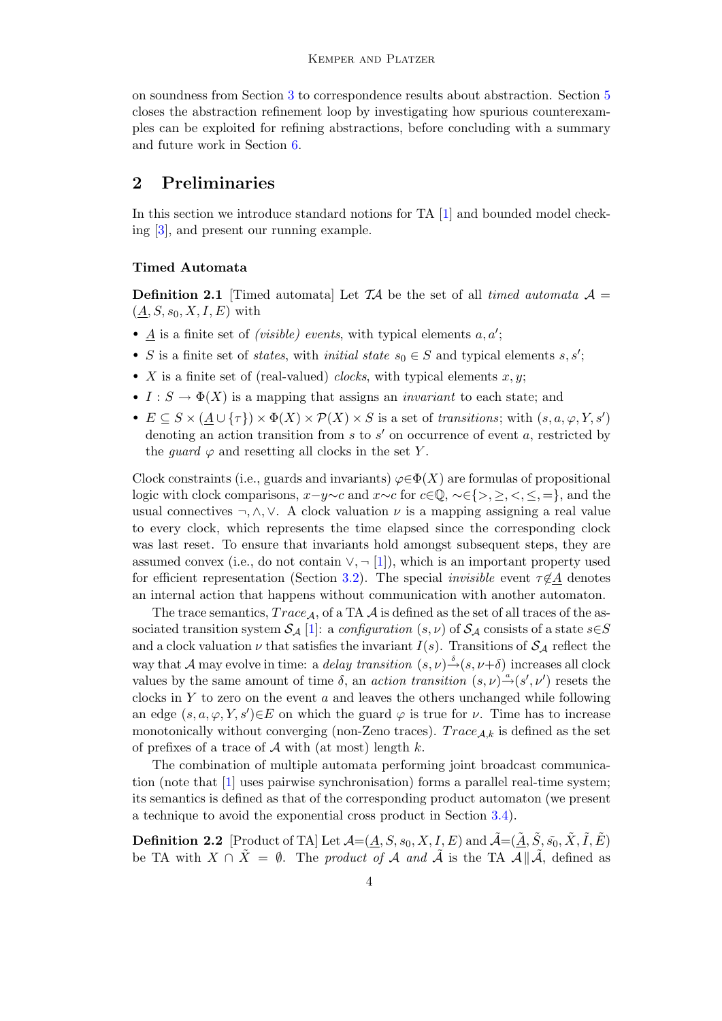on soundness from Section [3](#page-4-0) to correspondence results about abstraction. Section [5](#page-11-0) closes the abstraction refinement loop by investigating how spurious counterexamples can be exploited for refining abstractions, before concluding with a summary and future work in Section [6.](#page-13-0)

# <span id="page-3-0"></span>2 Preliminaries

In this section we introduce standard notions for TA [\[1\]](#page-14-3) and bounded model checking [\[3\]](#page-14-2), and present our running example.

### Timed Automata

**Definition 2.1** [Timed automata] Let TA be the set of all timed automata  $\mathcal{A} =$  $(\underline{A}, S, s_0, X, I, E)$  with

- $\underline{A}$  is a finite set of *(visible)* events, with typical elements  $a, a'$ ;
- S is a finite set of *states*, with *initial state*  $s_0 \in S$  and typical elements s, s';
- X is a finite set of (real-valued) *clocks*, with typical elements  $x, y$ ;
- $I: S \to \Phi(X)$  is a mapping that assigns an *invariant* to each state; and
- $E \subseteq S \times (\underline{A} \cup {\tau}) \times \Phi(X) \times \mathcal{P}(X) \times S$  is a set of transitions; with  $(s, a, \varphi, Y, s')$ denoting an action transition from  $s$  to  $s'$  on occurrence of event  $a$ , restricted by the *guard*  $\varphi$  and resetting all clocks in the set Y.

Clock constraints (i.e., guards and invariants)  $\varphi \in \Phi(X)$  are formulas of propositional logic with clock comparisons,  $x-y \sim c$  and  $x \sim c$  for  $c \in \mathbb{Q}, \sim \in \{>, \leq, \leq, \leq, =\}$ , and the usual connectives  $\neg, \wedge, \vee$ . A clock valuation  $\nu$  is a mapping assigning a real value to every clock, which represents the time elapsed since the corresponding clock was last reset. To ensure that invariants hold amongst subsequent steps, they are assumed convex (i.e., do not contain  $\vee$ ,  $\neg$  [\[1\]](#page-14-3)), which is an important property used for efficient representation (Section [3.2\)](#page-5-0). The special *invisible* event  $\tau \notin \underline{A}$  denotes an internal action that happens without communication with another automaton.

The trace semantics,  $Trace_A$ , of a TA  $\mathcal A$  is defined as the set of all traces of the associated transition system  $S_A$  [\[1\]](#page-14-3): a configuration  $(s, \nu)$  of  $S_A$  consists of a state  $s \in S$ and a clock valuation  $\nu$  that satisfies the invariant  $I(s)$ . Transitions of  $S_A$  reflect the way that A may evolve in time: a *delay transition*  $(s, \nu) \stackrel{\delta}{\rightarrow} (s, \nu + \delta)$  increases all clock values by the same amount of time  $\delta$ , an action transition  $(s, \nu) \stackrel{a}{\rightarrow} (s', \nu')$  resets the clocks in  $Y$  to zero on the event  $a$  and leaves the others unchanged while following an edge  $(s, a, \varphi, Y, s') \in E$  on which the guard  $\varphi$  is true for  $\nu$ . Time has to increase monotonically without converging (non-Zeno traces).  $Trace_{A,k}$  is defined as the set of prefixes of a trace of  $A$  with (at most) length  $k$ .

The combination of multiple automata performing joint broadcast communication (note that [\[1\]](#page-14-3) uses pairwise synchronisation) forms a parallel real-time system; its semantics is defined as that of the corresponding product automaton (we present a technique to avoid the exponential cross product in Section [3.4\)](#page-7-0).

<span id="page-3-1"></span>**Definition 2.2** [Product of TA] Let  $\mathcal{A} = (\underline{A}, S, s_0, X, I, E)$  and  $\tilde{\mathcal{A}} = (\tilde{\underline{A}}, \tilde{S}, \tilde{s_0}, \tilde{X}, \tilde{I}, \tilde{E})$ be TA with  $X \cap \tilde{X} = \emptyset$ . The product of A and  $\tilde{A}$  is the TA  $A \parallel \tilde{A}$ , defined as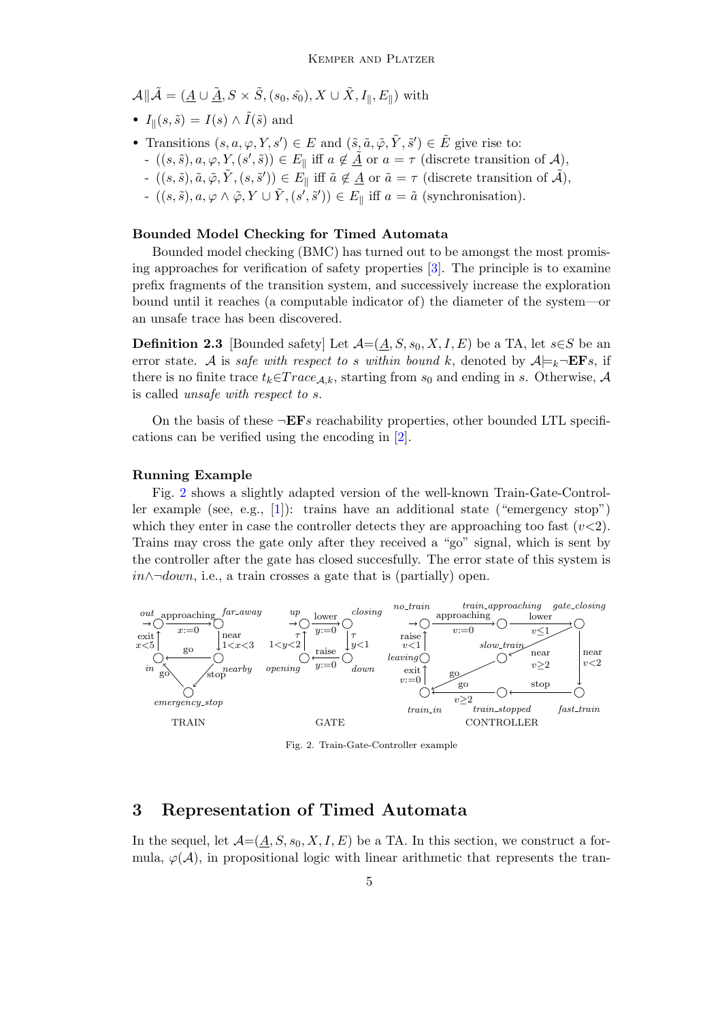$\mathcal{A} \| \tilde{\mathcal{A}} = (\underline{A} \cup \tilde{\underline{A}}, S \times \tilde{S}, (s_0, \tilde{s_0}), X \cup \tilde{X}, I_{\parallel}, E_{\parallel}) \text{ with }$ 

- $I_{\parallel}(s, \tilde{s}) = I(s) \wedge \tilde{I}(\tilde{s})$  and
- Transitions  $(s, a, \varphi, Y, s') \in E$  and  $(\tilde{s}, \tilde{a}, \tilde{\varphi}, \tilde{Y}, \tilde{s}') \in \tilde{E}$  give rise to:
- $((s, \tilde{s}), a, \varphi, Y, (s', \tilde{s})) \in E_{\parallel}$  iff  $a \notin \underline{\tilde{A}}$  or  $a = \tau$  (discrete transition of  $\mathcal{A}$ ),
- $\mathcal{L} \left( (s, \tilde{s}), \tilde{a}, \tilde{\varphi}, \tilde{Y}, (s, \tilde{s}') \right) \in E_{\parallel} \text{ iff } \tilde{a} \notin \underline{A} \text{ or } \tilde{a} = \tau \text{ (discrete transition of } \tilde{\mathcal{A}}),$
- $((s, \tilde{s}), a, \varphi \wedge \tilde{\varphi}, Y \cup \tilde{Y}, (s', \tilde{s}')) \in E_{\parallel}$  iff  $a = \tilde{a}$  (synchronisation).

### Bounded Model Checking for Timed Automata

Bounded model checking (BMC) has turned out to be amongst the most promising approaches for verification of safety properties [\[3\]](#page-14-2). The principle is to examine prefix fragments of the transition system, and successively increase the exploration bound until it reaches (a computable indicator of) the diameter of the system—or an unsafe trace has been discovered.

**Definition 2.3** [Bounded safety] Let  $\mathcal{A}=(\underline{A}, S, s_0, X, I, E)$  be a TA, let  $s \in S$  be an error state. A is safe with respect to s within bound k, denoted by  $A\models_k\neg E\mathbf{F}s$ , if there is no finite trace  $t_k \in Trace_{\mathcal{A},k}$ , starting from  $s_0$  and ending in s. Otherwise,  $\mathcal A$ is called unsafe with respect to s.

On the basis of these  $\neg$ **EF**s reachability properties, other bounded LTL specifications can be verified using the encoding in [\[2\]](#page-14-6).

### Running Example

<span id="page-4-2"></span>Fig. [2](#page-4-1) shows a slightly adapted version of the well-known Train-Gate-Controller example (see, e.g., [\[1\]](#page-14-3)): trains have an additional state ("emergency stop") which they enter in case the controller detects they are approaching too fast  $(v<2)$ . Trains may cross the gate only after they received a "go" signal, which is sent by the controller after the gate has closed succesfully. The error state of this system is  $in \land \neg down$ , i.e., a train crosses a gate that is (partially) open.



<span id="page-4-1"></span>Fig. 2. Train-Gate-Controller example

# <span id="page-4-0"></span>3 Representation of Timed Automata

In the sequel, let  $\mathcal{A}=(\underline{A}, S, s_0, X, I, E)$  be a TA. In this section, we construct a formula,  $\varphi(\mathcal{A})$ , in propositional logic with linear arithmetic that represents the tran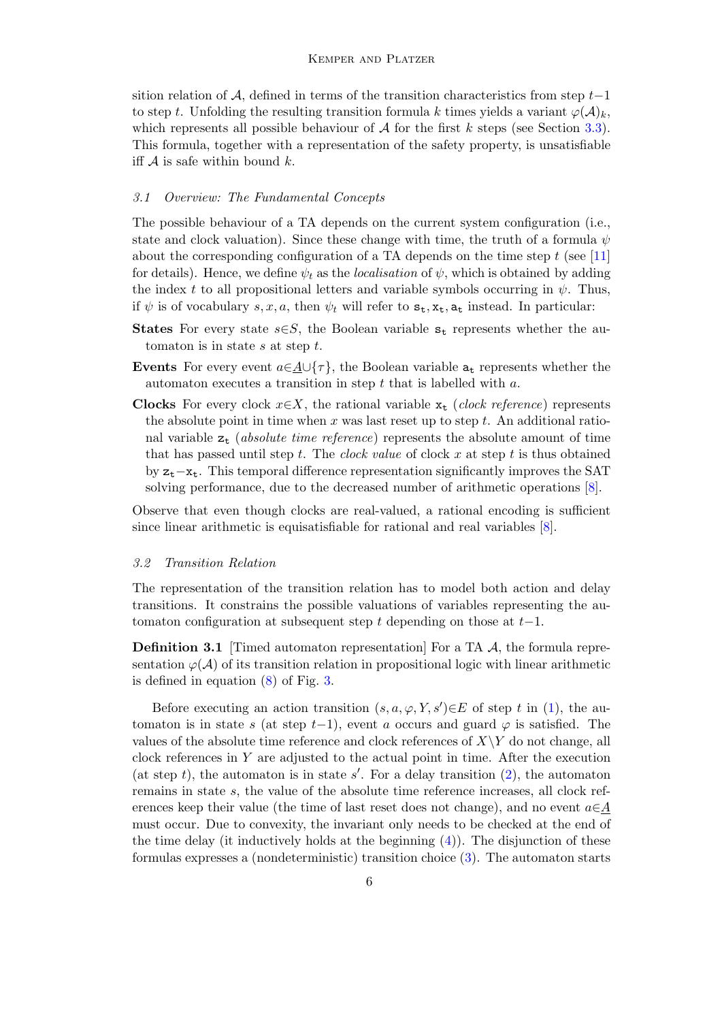sition relation of A, defined in terms of the transition characteristics from step  $t-1$ to step t. Unfolding the resulting transition formula k times yields a variant  $\varphi(\mathcal{A})_k$ , which represents all possible behaviour of  $A$  for the first k steps (see Section [3.3\)](#page-6-0). This formula, together with a representation of the safety property, is unsatisfiable iff  $A$  is safe within bound  $k$ .

# <span id="page-5-1"></span>3.1 Overview: The Fundamental Concepts

The possible behaviour of a TA depends on the current system configuration (i.e., state and clock valuation). Since these change with time, the truth of a formula  $\psi$ about the corresponding configuration of a TA depends on the time step  $t$  (see [\[11\]](#page-14-8) for details). Hence, we define  $\psi_t$  as the *localisation* of  $\psi$ , which is obtained by adding the index t to all propositional letters and variable symbols occurring in  $\psi$ . Thus, if  $\psi$  is of vocabulary s, x, a, then  $\psi_t$  will refer to  $s_t$ ,  $x_t$ ,  $a_t$  instead. In particular:

- **States** For every state  $s \in S$ , the Boolean variable  $s_t$  represents whether the automaton is in state s at step t.
- Events For every event  $a \in A \cup \{\tau\}$ , the Boolean variable  $a_{\tau}$  represents whether the automaton executes a transition in step t that is labelled with a.
- Clocks For every clock  $x \in X$ , the rational variable  $x_t$  (clock reference) represents the absolute point in time when x was last reset up to step t. An additional rational variable  $z_t$  (absolute time reference) represents the absolute amount of time that has passed until step t. The clock value of clock x at step t is thus obtained by  $z_t - x_t$ . This temporal difference representation significantly improves the SAT solving performance, due to the decreased number of arithmetic operations [\[8\]](#page-14-9).

Observe that even though clocks are real-valued, a rational encoding is sufficient since linear arithmetic is equisatisfiable for rational and real variables [\[8\]](#page-14-9).

### <span id="page-5-0"></span>3.2 Transition Relation

The representation of the transition relation has to model both action and delay transitions. It constrains the possible valuations of variables representing the automaton configuration at subsequent step t depending on those at  $t-1$ .

**Definition 3.1** [Timed automaton representation] For a TA  $A$ , the formula representation  $\varphi(A)$  of its transition relation in propositional logic with linear arithmetic is defined in equation [\(8\)](#page-6-1) of Fig. [3.](#page-6-2)

Before executing an action transition  $(s, a, \varphi, Y, s') \in E$  of step t in [\(1\)](#page-6-3), the automaton is in state s (at step t-1), event a occurs and guard  $\varphi$  is satisfied. The values of the absolute time reference and clock references of  $X\Y$  do not change, all clock references in  $Y$  are adjusted to the actual point in time. After the execution (at step t), the automaton is in state  $s'$ . For a delay transition [\(2\)](#page-6-4), the automaton remains in state s, the value of the absolute time reference increases, all clock references keep their value (the time of last reset does not change), and no event  $a \in A$ must occur. Due to convexity, the invariant only needs to be checked at the end of the time delay (it inductively holds at the beginning  $(4)$ ). The disjunction of these formulas expresses a (nondeterministic) transition choice [\(3\)](#page-6-6). The automaton starts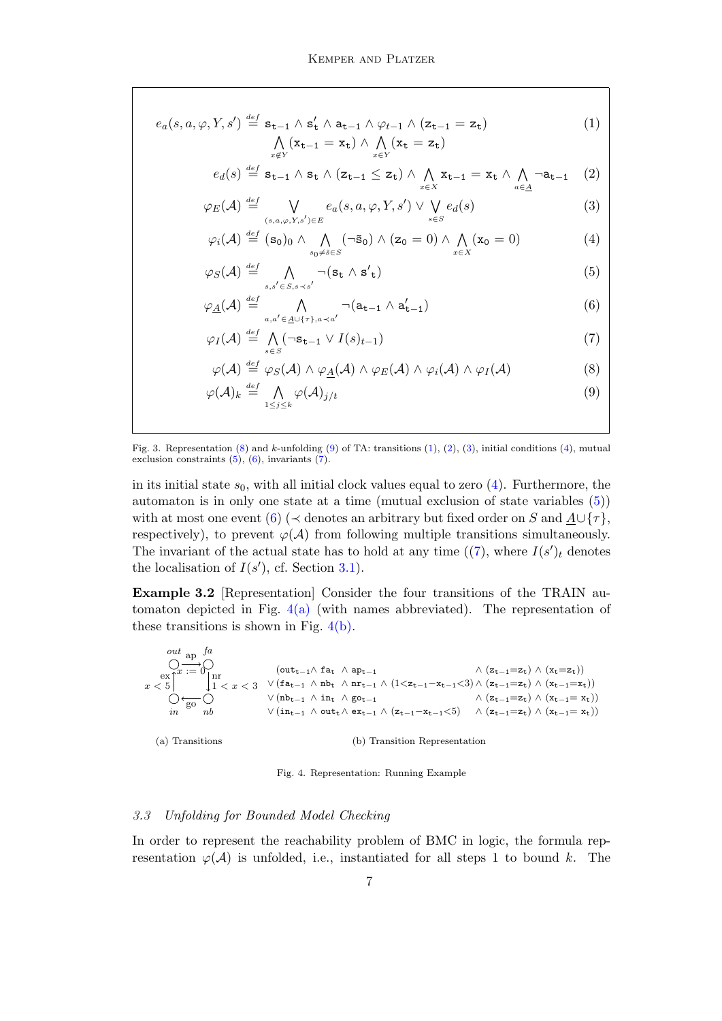$$
e_a(s, a, \varphi, Y, s') \stackrel{\text{def}}{=} \mathbf{s}_{t-1} \wedge \mathbf{s}'_t \wedge \mathbf{a}_{t-1} \wedge \varphi_{t-1} \wedge (\mathbf{z}_{t-1} = \mathbf{z}_t)
$$
(1)

<span id="page-6-10"></span><span id="page-6-9"></span><span id="page-6-8"></span><span id="page-6-6"></span><span id="page-6-5"></span><span id="page-6-4"></span><span id="page-6-3"></span>
$$
\bigwedge_{x \not\in Y} (\mathtt{x_{t-1}} = \mathtt{x_t}) \land \bigwedge_{x \in Y} (\mathtt{x_t} = \mathtt{z_t})
$$

$$
e_d(s) \stackrel{\text{def}}{=} \mathbf{s_{t-1}} \wedge \mathbf{s_t} \wedge (\mathbf{z_{t-1}} \leq \mathbf{z_t}) \wedge \bigwedge_{x \in X} \mathbf{x_{t-1}} = \mathbf{x_t} \wedge \bigwedge_{a \in \underline{A}} \neg \mathbf{a_{t-1}} \quad (2)
$$

$$
\varphi_E(\mathcal{A}) \stackrel{\text{def}}{=} \bigvee_{(s,a,\varphi,Y,s') \in E} e_a(s,a,\varphi,Y,s') \vee \bigvee_{s \in S} e_d(s) \tag{3}
$$

$$
\varphi_i(\mathcal{A}) \stackrel{def}{=} (\mathbf{s}_0)_0 \wedge \bigwedge_{s_0 \neq \tilde{s} \in S} (\neg \mathbf{\tilde{s}}_0) \wedge (\mathbf{z}_0 = 0) \wedge \bigwedge_{x \in X} (\mathbf{x}_0 = 0)
$$
(4)

$$
\varphi_S(\mathcal{A}) \stackrel{\text{def}}{=} \bigwedge_{s,s' \in S, s \prec s'} \neg(\mathbf{s_t} \land \mathbf{s'}_{\mathbf{t}})
$$
(5)

$$
\varphi_{\underline{A}}(\mathcal{A}) \stackrel{\text{def}}{=} \bigwedge_{a,a' \in \underline{A} \cup \{\tau\}, a \prec a'} \neg(a_{t-1} \land a'_{t-1})
$$
(6)

$$
\varphi_I(\mathcal{A}) \stackrel{\text{def}}{=} \bigwedge_{s \in S} (\neg \mathbf{s_{t-1}} \lor I(s)_{t-1}) \tag{7}
$$

<span id="page-6-7"></span><span id="page-6-1"></span>
$$
\varphi(\mathcal{A}) \stackrel{def}{=} \varphi_S(\mathcal{A}) \wedge \varphi_{\underline{A}}(\mathcal{A}) \wedge \varphi_E(\mathcal{A}) \wedge \varphi_i(\mathcal{A}) \wedge \varphi_I(\mathcal{A})
$$
\n(8)

$$
\varphi(\mathcal{A})_k \stackrel{\text{def}}{=} \bigwedge_{1 \le j \le k} \varphi(\mathcal{A})_{j/t} \tag{9}
$$

<span id="page-6-2"></span>Fig. 3. Representation [\(8\)](#page-6-1) and k-unfolding [\(9\)](#page-6-7) of TA: transitions [\(1\)](#page-6-3), [\(2\)](#page-6-4), [\(3\)](#page-6-6), initial conditions [\(4\)](#page-6-5), mutual exclusion constraints  $(5)$ ,  $(6)$ , invariants  $(7)$ .

in its initial state  $s_0$ , with all initial clock values equal to zero [\(4\)](#page-6-5). Furthermore, the automaton is in only one state at a time (mutual exclusion of state variables [\(5\)](#page-6-8)) with at most one event [\(6\)](#page-6-9) ( $\prec$  denotes an arbitrary but fixed order on S and  $\underline{A} \cup {\lbrace \tau \rbrace}$ , respectively), to prevent  $\varphi(A)$  from following multiple transitions simultaneously. The invariant of the actual state has to hold at any time  $((7)$  $((7)$ , where  $I(s')_t$  denotes the localisation of  $I(s')$ , cf. Section [3.1\)](#page-5-1).

Example 3.2 [Representation] Consider the four transitions of the TRAIN automaton depicted in Fig.  $4(a)$  (with names abbreviated). The representation of these transitions is shown in Fig.  $4(b)$ .

<span id="page-6-12"></span><span id="page-6-11"></span>
$$
\begin{array}{llll} &ou{t} \text{ and } &f{a} \\ &\bigcirc\\ &\searrow\uparrow x:=\begin{matrix}0 \\ \text{ or } \\ 1\end{matrix} \end{array} \text{ (out}_{t-1}\wedge\text{ fat }\wedge\text{ apt-1} &\wedge\ (z_{t-1}=z_t)\wedge\ (z_t=z_t)) \\ &\times<\begin{matrix}0 \\ \text{ or } \\ 0\end{matrix} \end{array} \begin{array}{llll} &\wedge\ (u_{t-1}\wedge\text{ fat }\wedge\text{ apt-1} &\wedge\ (1< z_{t-1}-x_{t-1}<3)\wedge\ (z_{t-1}=z_t)\wedge\ (x_{t-1}=x_t)) \\ &\wedge\ (z_{t-1}=z_t)\wedge\ (x_{t-1}=x_t)) &\wedge\ (z_{t-1}=z_t)\wedge\ (x_{t-1}=x_t)) \\ &\times\ (i\text{th}_{t-1}\wedge\text{out}_{t}\wedge\text{ ext}_{t-1}\wedge\ (z_{t-1}-x_{t-1}<5) &\wedge\ (z_{t-1}=z_t)\wedge\ (x_{t-1}=x_t)) \end{array}
$$

(a) Transitions

(b) Transition Representation

Fig. 4. Representation: Running Example

# <span id="page-6-0"></span>3.3 Unfolding for Bounded Model Checking

In order to represent the reachability problem of BMC in logic, the formula representation  $\varphi(A)$  is unfolded, i.e., instantiated for all steps 1 to bound k. The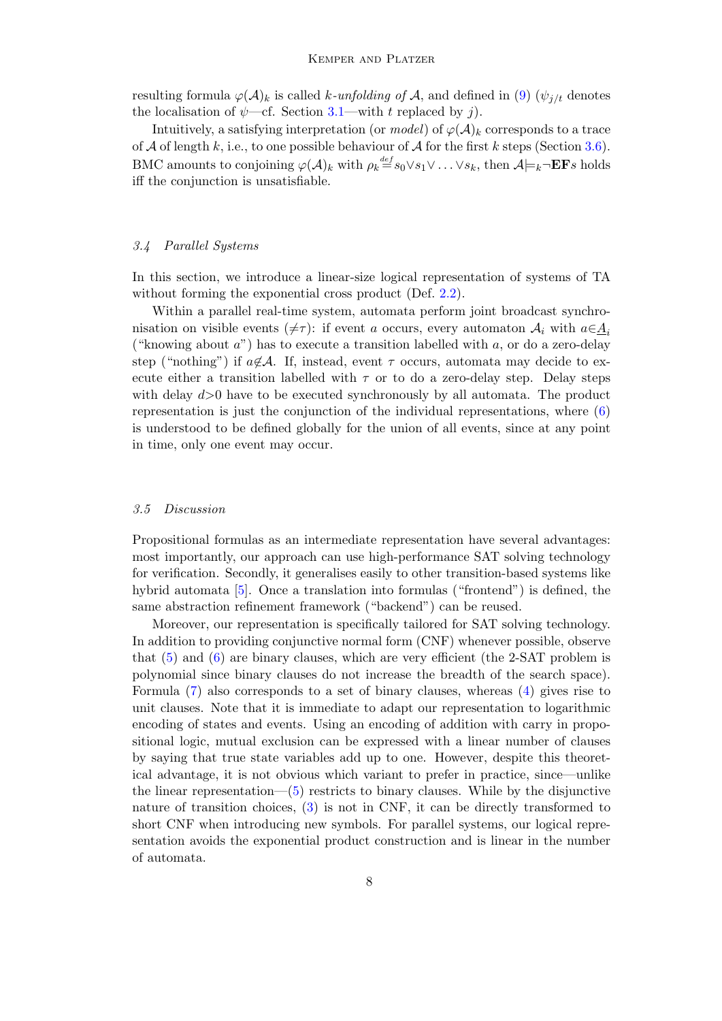#### Kemper and Platzer

resulting formula  $\varphi(\mathcal{A})_k$  is called k-unfolding of A, and defined in [\(9\)](#page-6-7)  $(\psi_{i/t}$  denotes the localisation of  $\psi$ —cf. Section [3.1—](#page-5-1)with t replaced by j).

Intuitively, a satisfying interpretation (or *model*) of  $\varphi(\mathcal{A})_k$  corresponds to a trace of A of length k, i.e., to one possible behaviour of A for the first k steps (Section [3.6\)](#page-8-1). BMC amounts to conjoining  $\varphi(\mathcal{A})_k$  with  $\rho_k \stackrel{def}{=} s_0 \vee s_1 \vee \ldots \vee s_k$ , then  $\mathcal{A} \models_k \neg \mathbf{EF} s$  holds iff the conjunction is unsatisfiable.

# <span id="page-7-0"></span>3.4 Parallel Systems

In this section, we introduce a linear-size logical representation of systems of TA without forming the exponential cross product (Def. [2.2\)](#page-3-1).

Within a parallel real-time system, automata perform joint broadcast synchronisation on visible events ( $\neq \tau$ ): if event a occurs, every automaton  $\mathcal{A}_i$  with  $a \in \underline{A}_i$ ("knowing about  $a$ ") has to execute a transition labelled with  $a$ , or do a zero-delay step ("nothing") if  $a\notin A$ . If, instead, event  $\tau$  occurs, automata may decide to execute either a transition labelled with  $\tau$  or to do a zero-delay step. Delay steps with delay  $d>0$  have to be executed synchronously by all automata. The product representation is just the conjunction of the individual representations, where [\(6\)](#page-6-9) is understood to be defined globally for the union of all events, since at any point in time, only one event may occur.

#### 3.5 Discussion

Propositional formulas as an intermediate representation have several advantages: most importantly, our approach can use high-performance SAT solving technology for verification. Secondly, it generalises easily to other transition-based systems like hybrid automata [\[5\]](#page-14-10). Once a translation into formulas ("frontend") is defined, the same abstraction refinement framework ("backend") can be reused.

Moreover, our representation is specifically tailored for SAT solving technology. In addition to providing conjunctive normal form (CNF) whenever possible, observe that  $(5)$  and  $(6)$  are binary clauses, which are very efficient (the 2-SAT problem is polynomial since binary clauses do not increase the breadth of the search space). Formula [\(7\)](#page-6-10) also corresponds to a set of binary clauses, whereas [\(4\)](#page-6-5) gives rise to unit clauses. Note that it is immediate to adapt our representation to logarithmic encoding of states and events. Using an encoding of addition with carry in propositional logic, mutual exclusion can be expressed with a linear number of clauses by saying that true state variables add up to one. However, despite this theoretical advantage, it is not obvious which variant to prefer in practice, since—unlike the linear representation—[\(5\)](#page-6-8) restricts to binary clauses. While by the disjunctive nature of transition choices, [\(3\)](#page-6-6) is not in CNF, it can be directly transformed to short CNF when introducing new symbols. For parallel systems, our logical representation avoids the exponential product construction and is linear in the number of automata.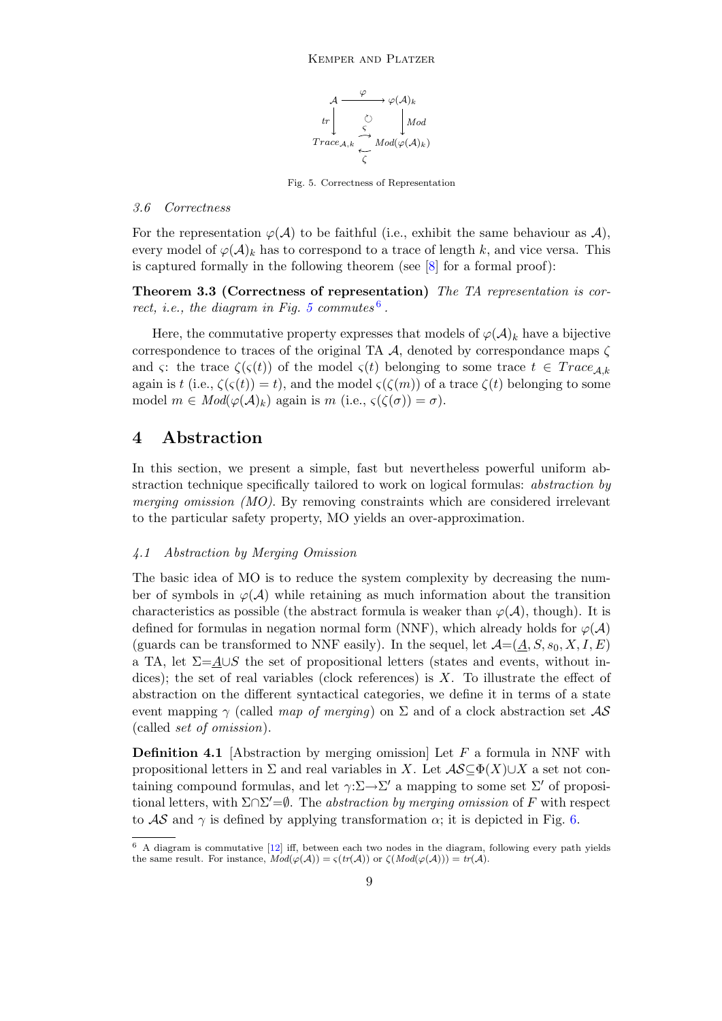

<span id="page-8-2"></span>Fig. 5. Correctness of Representation

### <span id="page-8-1"></span>3.6 Correctness

For the representation  $\varphi(A)$  to be faithful (i.e., exhibit the same behaviour as A), every model of  $\varphi(\mathcal{A})_k$  has to correspond to a trace of length k, and vice versa. This is captured formally in the following theorem (see  $[8]$  for a formal proof):

<span id="page-8-4"></span>Theorem 3.3 (Correctness of representation) The TA representation is cor-rect, i.e., the diagram in Fig. [5](#page-8-2) commutes  $6$ .

Here, the commutative property expresses that models of  $\varphi(\mathcal{A})_k$  have a bijective correspondence to traces of the original TA  $\mathcal{A}$ , denoted by correspondance maps  $\zeta$ and  $\varsigma$ : the trace  $\zeta(\varsigma(t))$  of the model  $\varsigma(t)$  belonging to some trace  $t \in Trace_{\mathcal{A},k}$ again is t (i.e.,  $\zeta(\zeta(t)) = t$ ), and the model  $\zeta(\zeta(m))$  of a trace  $\zeta(t)$  belonging to some model  $m \in Mod(\varphi(\mathcal{A})_k)$  again is  $m$  (i.e.,  $\varsigma(\zeta(\sigma)) = \sigma$ ).

# <span id="page-8-0"></span>4 Abstraction

In this section, we present a simple, fast but nevertheless powerful uniform abstraction technique specifically tailored to work on logical formulas: abstraction by *merging omission (MO)*. By removing constraints which are considered irrelevant to the particular safety property, MO yields an over-approximation.

#### 4.1 Abstraction by Merging Omission

The basic idea of MO is to reduce the system complexity by decreasing the number of symbols in  $\varphi(\mathcal{A})$  while retaining as much information about the transition characteristics as possible (the abstract formula is weaker than  $\varphi(A)$ , though). It is defined for formulas in negation normal form (NNF), which already holds for  $\varphi(\mathcal{A})$ (guards can be transformed to NNF easily). In the sequel, let  $\mathcal{A}=(A, S, s_0, X, I, E)$ a TA, let  $\Sigma = A \cup S$  the set of propositional letters (states and events, without indices); the set of real variables (clock references) is  $X$ . To illustrate the effect of abstraction on the different syntactical categories, we define it in terms of a state event mapping  $\gamma$  (called map of merging) on  $\Sigma$  and of a clock abstraction set  $\mathcal{AS}$ (called set of omission).

<span id="page-8-5"></span>**Definition 4.1** [Abstraction by merging omission] Let  $F$  a formula in NNF with propositional letters in  $\Sigma$  and real variables in X. Let  $\mathcal{A}\mathcal{S}\subseteq \Phi(X)\cup X$  a set not containing compound formulas, and let  $\gamma:\Sigma \to \Sigma'$  a mapping to some set  $\Sigma'$  of propositional letters, with  $\Sigma \cap \Sigma' = \emptyset$ . The *abstraction by merging omission* of F with respect to  $\mathcal{AS}$  and  $\gamma$  is defined by applying transformation  $\alpha$ ; it is depicted in Fig. [6.](#page-9-0)

<span id="page-8-3"></span><sup>6</sup> A diagram is commutative [\[12\]](#page-14-11) iff, between each two nodes in the diagram, following every path yields the same result. For instance,  $Mod(\varphi(A)) = \varsigma(tr(A))$  or  $\zeta(Mod(\varphi(A))) = tr(A)$ .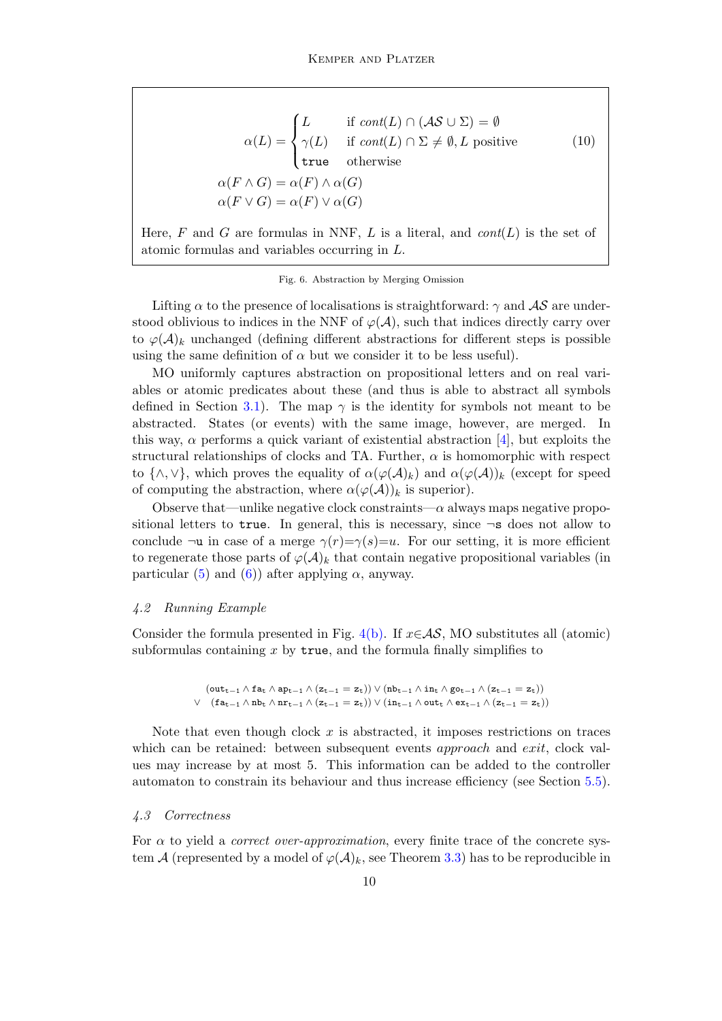$$
\alpha(L) = \begin{cases}\nL & \text{if } cont(L) \cap (\mathcal{AS} \cup \Sigma) = \emptyset \\
\gamma(L) & \text{if } cont(L) \cap \Sigma \neq \emptyset, L \text{ positive} \\
\text{true} & \text{otherwise}\n\end{cases} \tag{10}
$$
\n
$$
\alpha(F \wedge G) = \alpha(F) \wedge \alpha(G)
$$
\n
$$
\alpha(F \vee G) = \alpha(F) \vee \alpha(G)
$$

Here, F and G are formulas in NNF, L is a literal, and  $cont(L)$  is the set of atomic formulas and variables occurring in L.

#### <span id="page-9-0"></span>Fig. 6. Abstraction by Merging Omission

Lifting  $\alpha$  to the presence of localisations is straightforward:  $\gamma$  and  $\mathcal{AS}$  are understood oblivious to indices in the NNF of  $\varphi(\mathcal{A})$ , such that indices directly carry over to  $\varphi(A)_k$  unchanged (defining different abstractions for different steps is possible using the same definition of  $\alpha$  but we consider it to be less useful).

MO uniformly captures abstraction on propositional letters and on real variables or atomic predicates about these (and thus is able to abstract all symbols defined in Section [3.1\)](#page-5-1). The map  $\gamma$  is the identity for symbols not meant to be abstracted. States (or events) with the same image, however, are merged. In this way,  $\alpha$  performs a quick variant of existential abstraction [\[4\]](#page-14-0), but exploits the structural relationships of clocks and TA. Further,  $\alpha$  is homomorphic with respect to  $\{\wedge, \vee\}$ , which proves the equality of  $\alpha(\varphi(\mathcal{A})_k)$  and  $\alpha(\varphi(\mathcal{A}))_k$  (except for speed of computing the abstraction, where  $\alpha(\varphi(\mathcal{A}))_k$  is superior).

Observe that—unlike negative clock constraints— $\alpha$  always maps negative propositional letters to true. In general, this is necessary, since  $\neg$  does not allow to conclude  $\neg$ u in case of a merge  $\gamma(r)=\gamma(s)=u$ . For our setting, it is more efficient to regenerate those parts of  $\varphi(\mathcal{A})_k$  that contain negative propositional variables (in particular [\(5\)](#page-6-8) and [\(6\)](#page-6-9)) after applying  $\alpha$ , anyway.

# <span id="page-9-2"></span>4.2 Running Example

Consider the formula presented in Fig. [4\(b\).](#page-6-12) If  $x \in \mathcal{AS}$ , MO substitutes all (atomic) subformulas containing  $x$  by  $true$ , and the formula finally simplifies to

$$
\begin{array}{l} \left(\verb"out_{t-1}\wedge \verb"fa_t\wedge \verb"ap_{t-1}\wedge \left(\verb"z_{t-1}=z_t\right)\right)\vee \left(\verb"nb_{t-1}\wedge \verb"in_t\wedge \verb"go_{t-1}\wedge \left(\verb"z_{t-1}=z_t\right)\right)\\ \vee\quad \left(\verb"fa_{t-1}\wedge \verb"nb_t\wedge \verb"nr_{t-1}\wedge \left(\verb"z_{t-1}=z_t\right)\right)\vee \left(\verb"in_{t-1}\wedge \verb"out_t\wedge \verb"ex_{t-1}\wedge \left(\verb"z_{t-1}=z_t\right)\right) \end{array}
$$

Note that even though clock  $x$  is abstracted, it imposes restrictions on traces which can be retained: between subsequent events approach and exit, clock values may increase by at most 5. This information can be added to the controller automaton to constrain its behaviour and thus increase efficiency (see Section [5.5\)](#page-13-1).

#### <span id="page-9-1"></span>4.3 Correctness

For  $\alpha$  to yield a *correct over-approximation*, every finite trace of the concrete system A (represented by a model of  $\varphi(\mathcal{A})_k$ , see Theorem [3.3\)](#page-8-4) has to be reproducible in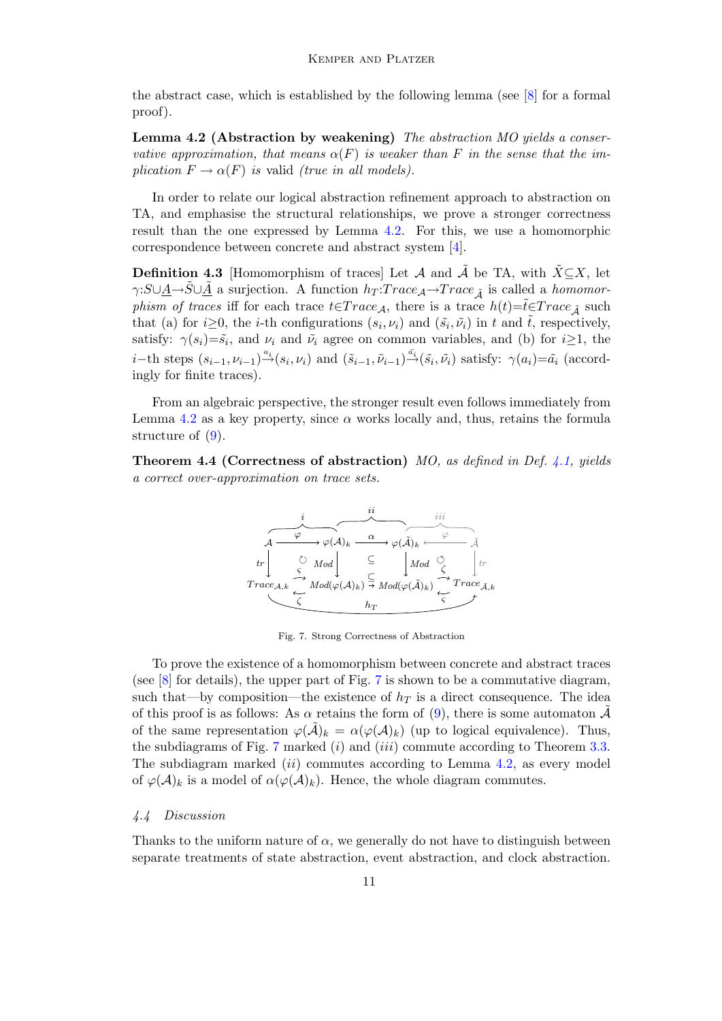the abstract case, which is established by the following lemma (see [\[8\]](#page-14-9) for a formal proof).

<span id="page-10-0"></span>Lemma 4.2 (Abstraction by weakening) The abstraction MO yields a conservative approximation, that means  $\alpha(F)$  is weaker than F in the sense that the implication  $F \to \alpha(F)$  is valid (true in all models).

In order to relate our logical abstraction refinement approach to abstraction on TA, and emphasise the structural relationships, we prove a stronger correctness result than the one expressed by Lemma [4.2.](#page-10-0) For this, we use a homomorphic correspondence between concrete and abstract system [\[4\]](#page-14-0).

**Definition 4.3** [Homomorphism of traces] Let A and  $\tilde{A}$  be TA, with  $\tilde{X}\subseteq X$ , let  $\gamma: S \cup \underline{A} \to \tilde{S} \cup \tilde{A}$  a surjection. A function  $h_T: Trace_{\tilde{A}} \to Trace_{\tilde{A}}$  is called a *homomor*phism of traces iff for each trace  $t \in Trace_A$ , there is a trace  $h(t)=\tilde{t} \in Trace_{\tilde{A}}$  such that (a) for  $i \geq 0$ , the *i*-th configurations  $(s_i, \nu_i)$  and  $(\tilde{s}_i, \tilde{\nu}_i)$  in t and  $\tilde{t}$ , respectively, satisfy:  $\gamma(s_i)=\tilde{s}_i$ , and  $\nu_i$  and  $\tilde{\nu}_i$  agree on common variables, and (b) for  $i\geq 1$ , the *i*−th steps  $(s_{i-1}, \nu_{i-1}) \stackrel{a_i}{\rightarrow} (s_i, \nu_i)$  and  $(\tilde{s}_{i-1}, \tilde{\nu}_{i-1}) \stackrel{\tilde{a_i}}{\rightarrow} (\tilde{s}_i, \tilde{\nu}_i)$  satisfy:  $\gamma(a_i) = \tilde{a}_i$  (accordingly for finite traces).

From an algebraic perspective, the stronger result even follows immediately from Lemma [4.2](#page-10-0) as a key property, since  $\alpha$  works locally and, thus, retains the formula structure of [\(9\)](#page-6-7).

Theorem 4.4 (Correctness of abstraction) MO, as defined in Def. [4.1,](#page-8-5) yields a correct over-approximation on trace sets.



<span id="page-10-1"></span>Fig. 7. Strong Correctness of Abstraction

To prove the existence of a homomorphism between concrete and abstract traces (see [\[8\]](#page-14-9) for details), the upper part of Fig. [7](#page-10-1) is shown to be a commutative diagram, such that—by composition—the existence of  $h<sub>T</sub>$  is a direct consequence. The idea of this proof is as follows: As  $\alpha$  retains the form of [\(9\)](#page-6-7), there is some automaton  $\mathcal A$ of the same representation  $\varphi(\tilde{\mathcal{A}})_k = \alpha(\varphi(\mathcal{A})_k)$  (up to logical equivalence). Thus, the subdiagrams of Fig. [7](#page-10-1) marked  $(i)$  and  $(iii)$  commute according to Theorem [3.3.](#page-8-4) The subdiagram marked  $(ii)$  commutes according to Lemma [4.2,](#page-10-0) as every model of  $\varphi(\mathcal{A})_k$  is a model of  $\alpha(\varphi(\mathcal{A})_k)$ . Hence, the whole diagram commutes.

### 4.4 Discussion

Thanks to the uniform nature of  $\alpha$ , we generally do not have to distinguish between separate treatments of state abstraction, event abstraction, and clock abstraction.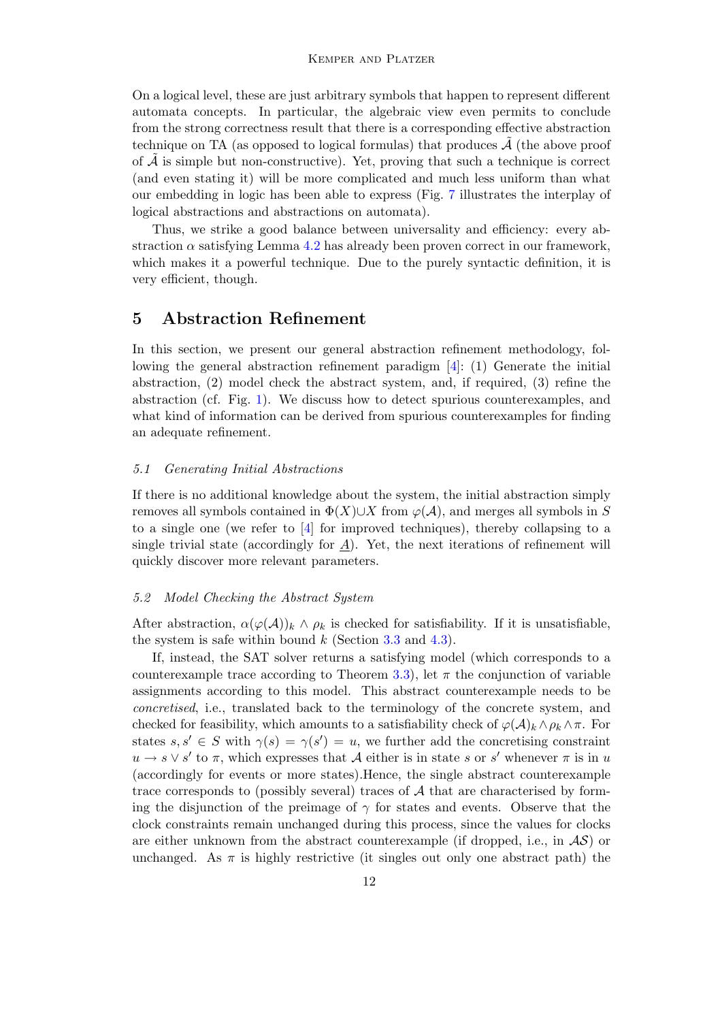On a logical level, these are just arbitrary symbols that happen to represent different automata concepts. In particular, the algebraic view even permits to conclude from the strong correctness result that there is a corresponding effective abstraction technique on TA (as opposed to logical formulas) that produces  $\tilde{\mathcal{A}}$  (the above proof of  $A$  is simple but non-constructive). Yet, proving that such a technique is correct (and even stating it) will be more complicated and much less uniform than what our embedding in logic has been able to express (Fig. [7](#page-10-1) illustrates the interplay of logical abstractions and abstractions on automata).

Thus, we strike a good balance between universality and efficiency: every abstraction  $\alpha$  satisfying Lemma [4.2](#page-10-0) has already been proven correct in our framework, which makes it a powerful technique. Due to the purely syntactic definition, it is very efficient, though.

# <span id="page-11-0"></span>5 Abstraction Refinement

In this section, we present our general abstraction refinement methodology, following the general abstraction refinement paradigm [\[4\]](#page-14-0): (1) Generate the initial abstraction, (2) model check the abstract system, and, if required, (3) refine the abstraction (cf. Fig. [1\)](#page-2-0). We discuss how to detect spurious counterexamples, and what kind of information can be derived from spurious counterexamples for finding an adequate refinement.

# <span id="page-11-1"></span>5.1 Generating Initial Abstractions

If there is no additional knowledge about the system, the initial abstraction simply removes all symbols contained in  $\Phi(X) \cup X$  from  $\varphi(A)$ , and merges all symbols in S to a single one (we refer to [\[4\]](#page-14-0) for improved techniques), thereby collapsing to a single trivial state (accordingly for  $\underline{A}$ ). Yet, the next iterations of refinement will quickly discover more relevant parameters.

### 5.2 Model Checking the Abstract System

After abstraction,  $\alpha(\varphi(\mathcal{A}))_k \wedge \rho_k$  is checked for satisfiability. If it is unsatisfiable, the system is safe within bound  $k$  (Section [3.3](#page-6-0) and [4.3\)](#page-9-1).

If, instead, the SAT solver returns a satisfying model (which corresponds to a counterexample trace according to Theorem [3.3\)](#page-8-4), let  $\pi$  the conjunction of variable assignments according to this model. This abstract counterexample needs to be concretised, i.e., translated back to the terminology of the concrete system, and checked for feasibility, which amounts to a satisfiability check of  $\varphi(\mathcal{A})_k \wedge \rho_k \wedge \pi$ . For states  $s, s' \in S$  with  $\gamma(s) = \gamma(s') = u$ , we further add the concretising constraint  $u \to s \vee s'$  to  $\pi$ , which expresses that A either is in state s or s' whenever  $\pi$  is in u (accordingly for events or more states).Hence, the single abstract counterexample trace corresponds to (possibly several) traces of  $A$  that are characterised by forming the disjunction of the preimage of  $\gamma$  for states and events. Observe that the clock constraints remain unchanged during this process, since the values for clocks are either unknown from the abstract counterexample (if dropped, i.e., in  $\mathcal{AS}$ ) or unchanged. As  $\pi$  is highly restrictive (it singles out only one abstract path) the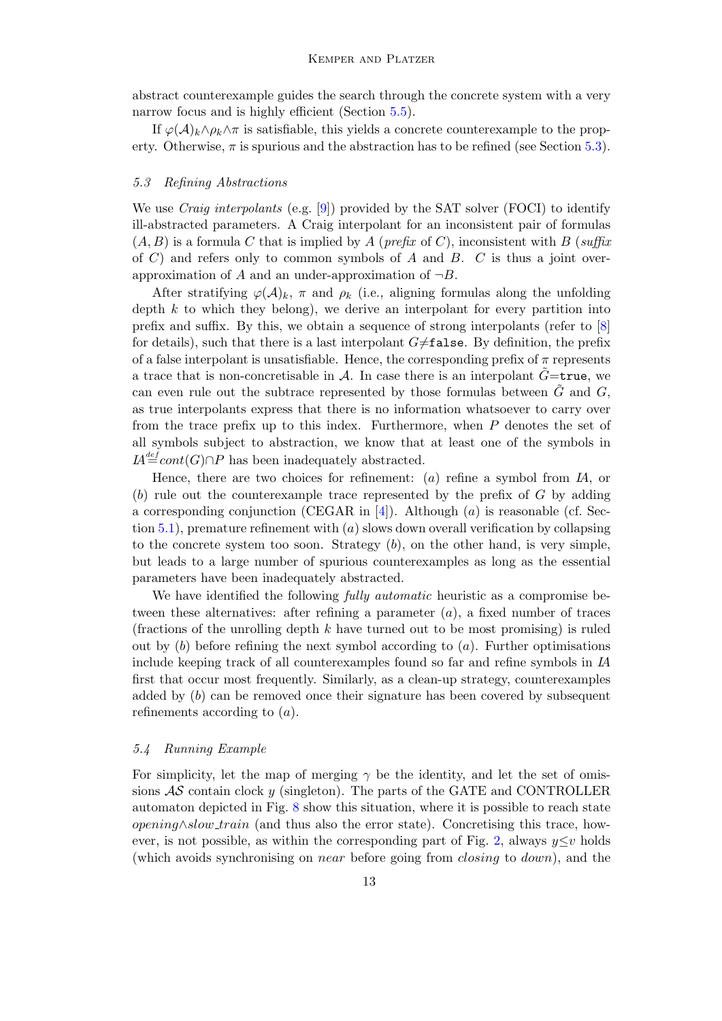abstract counterexample guides the search through the concrete system with a very narrow focus and is highly efficient (Section [5.5\)](#page-13-1).

If  $\varphi(\mathcal{A})_k \wedge \rho_k \wedge \pi$  is satisfiable, this yields a concrete counterexample to the property. Otherwise,  $\pi$  is spurious and the abstraction has to be refined (see Section [5.3\)](#page-12-0).

#### <span id="page-12-0"></span>5.3 Refining Abstractions

We use *Craig interpolants* (e.g. [\[9\]](#page-14-5)) provided by the SAT solver (FOCI) to identify ill-abstracted parameters. A Craig interpolant for an inconsistent pair of formulas  $(A, B)$  is a formula C that is implied by A (prefix of C), inconsistent with B (suffix of  $C$ ) and refers only to common symbols of A and B.  $C$  is thus a joint overapproximation of A and an under-approximation of  $\neg B$ .

After stratifying  $\varphi(\mathcal{A})_k$ ,  $\pi$  and  $\rho_k$  (i.e., aligning formulas along the unfolding depth  $k$  to which they belong), we derive an interpolant for every partition into prefix and suffix. By this, we obtain a sequence of strong interpolants (refer to [\[8\]](#page-14-9) for details), such that there is a last interpolant  $G \neq false$ . By definition, the prefix of a false interpolant is unsatisfiable. Hence, the corresponding prefix of  $\pi$  represents a trace that is non-concretisable in  $\mathcal A$ . In case there is an interpolant  $\ddot{G}$ =true, we can even rule out the subtrace represented by those formulas between  $\tilde{G}$  and  $G$ , as true interpolants express that there is no information whatsoever to carry over from the trace prefix up to this index. Furthermore, when P denotes the set of all symbols subject to abstraction, we know that at least one of the symbols in  $A^{\text{def}}_{\text{=}}cont(G) \cap P$  has been inadequately abstracted.

Hence, there are two choices for refinement:  $(a)$  refine a symbol from  $I\!A$ , or  $(b)$  rule out the counterexample trace represented by the prefix of G by adding a corresponding conjunction (CEGAR in [\[4\]](#page-14-0)). Although  $(a)$  is reasonable (cf. Sec-tion [5.1\)](#page-11-1), premature refinement with  $(a)$  slows down overall verification by collapsing to the concrete system too soon. Strategy  $(b)$ , on the other hand, is very simple, but leads to a large number of spurious counterexamples as long as the essential parameters have been inadequately abstracted.

We have identified the following *fully automatic* heuristic as a compromise between these alternatives: after refining a parameter  $(a)$ , a fixed number of traces (fractions of the unrolling depth  $k$  have turned out to be most promising) is ruled out by  $(b)$  before refining the next symbol according to  $(a)$ . Further optimisations include keeping track of all counterexamples found so far and refine symbols in IA first that occur most frequently. Similarly, as a clean-up strategy, counterexamples added by  $(b)$  can be removed once their signature has been covered by subsequent refinements according to  $(a)$ .

### 5.4 Running Example

For simplicity, let the map of merging  $\gamma$  be the identity, and let the set of omissions  $\overline{AS}$  contain clock y (singleton). The parts of the GATE and CONTROLLER automaton depicted in Fig. [8](#page-13-2) show this situation, where it is possible to reach state opening∧slow train (and thus also the error state). Concretising this trace, how-ever, is not possible, as within the corresponding part of Fig. [2,](#page-4-1) always  $y \leq v$  holds (which avoids synchronising on near before going from closing to down), and the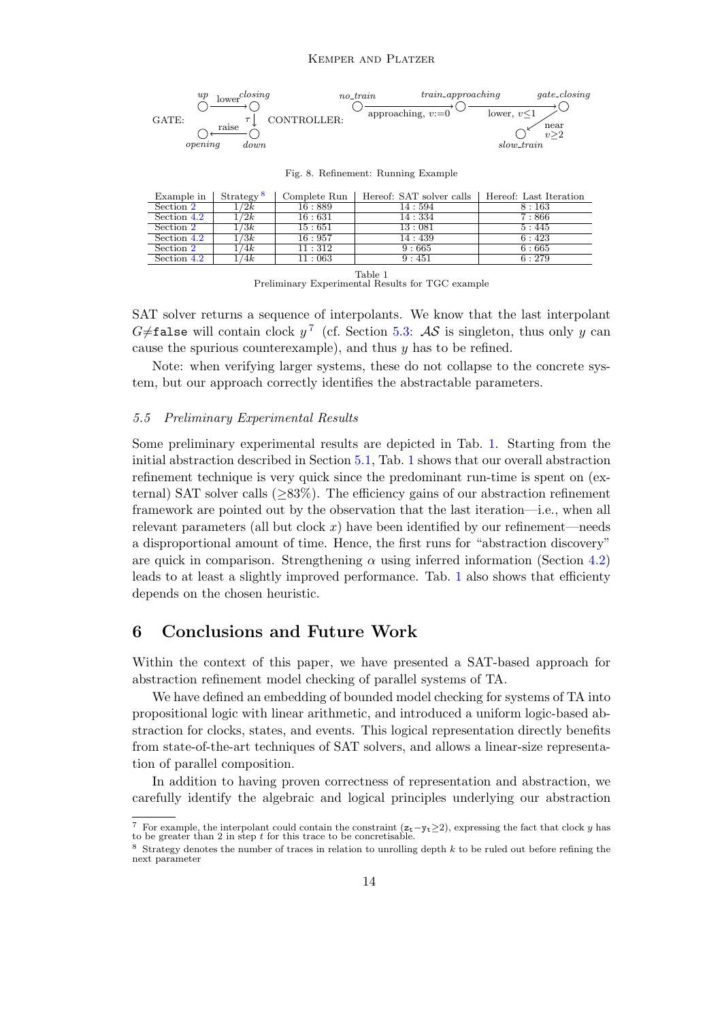#### Kemper and Platzer



<span id="page-13-2"></span>Fig. 8. Refinement: Running Example

| Example in  | Strategy <sup>8</sup> | Complete Run | Hereof: SAT solver calls | Hereof: Last Iteration |
|-------------|-----------------------|--------------|--------------------------|------------------------|
| Section 2   | /2k                   | 16:889       | 14:594                   | 8:163                  |
| Section 4.2 | /2k                   | 16:631       | 14:334                   | 7:866                  |
| Section 2   | /3k                   | 15:651       | 13:081                   | 5:445                  |
| Section 4.2 | /3k                   | 16:957       | 14:439                   | 6:423                  |
| Section 2   | 14k                   | 11:312       | 9:665                    | 6:665                  |
| Section 4.2 | /4k                   | 11:063       | 9:451                    | 6:279                  |

Table 1 Preliminary Experimental Results for TGC example

<span id="page-13-4"></span>SAT solver returns a sequence of interpolants. We know that the last interpolant G≠false will contain clock  $y^7$  $y^7$  (cf. Section [5.3:](#page-12-0) AS is singleton, thus only y can

cause the spurious counterexample), and thus y has to be refined.

Note: when verifying larger systems, these do not collapse to the concrete system, but our approach correctly identifies the abstractable parameters.

### <span id="page-13-1"></span>5.5 Preliminary Experimental Results

Some preliminary experimental results are depicted in Tab. [1.](#page-13-4) Starting from the initial abstraction described in Section [5.1,](#page-11-1) Tab. [1](#page-13-4) shows that our overall abstraction refinement technique is very quick since the predominant run-time is spent on (external) SAT solver calls  $(≥83%)$ . The efficiency gains of our abstraction refinement framework are pointed out by the observation that the last iteration—i.e., when all relevant parameters (all but clock  $x$ ) have been identified by our refinement—needs a disproportional amount of time. Hence, the first runs for "abstraction discovery" are quick in comparison. Strengthening  $\alpha$  using inferred information (Section [4.2\)](#page-9-2) leads to at least a slightly improved performance. Tab. [1](#page-13-4) also shows that efficienty depends on the chosen heuristic.

# <span id="page-13-0"></span>6 Conclusions and Future Work

Within the context of this paper, we have presented a SAT-based approach for abstraction refinement model checking of parallel systems of TA.

We have defined an embedding of bounded model checking for systems of TA into propositional logic with linear arithmetic, and introduced a uniform logic-based abstraction for clocks, states, and events. This logical representation directly benefits from state-of-the-art techniques of SAT solvers, and allows a linear-size representation of parallel composition.

In addition to having proven correctness of representation and abstraction, we carefully identify the algebraic and logical principles underlying our abstraction

<span id="page-13-3"></span><sup>&</sup>lt;sup>7</sup> For example, the interpolant could contain the constraint  $(z_t-y_t\geq 2)$ , expressing the fact that clock y has to be greater than 2 in step t for this trace to be concretisable.

 $8$  Strategy denotes the number of traces in relation to unrolling depth  $k$  to be ruled out before refining the next parameter